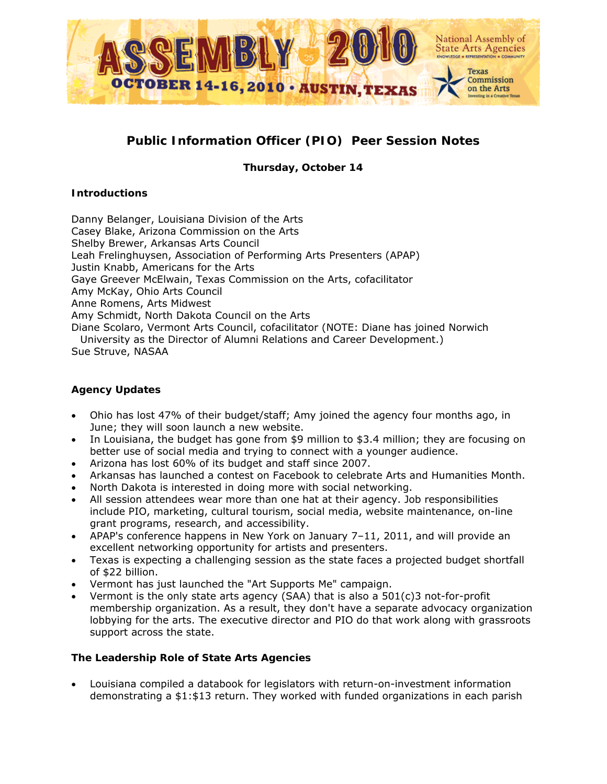

# **Public Information Officer (PIO) Peer Session Notes**

*Thursday, October 14*

# **Introductions**

Danny Belanger, Louisiana Division of the Arts Casey Blake, Arizona Commission on the Arts Shelby Brewer, Arkansas Arts Council Leah Frelinghuysen, Association of Performing Arts Presenters (APAP) Justin Knabb, Americans for the Arts Gaye Greever McElwain, Texas Commission on the Arts, cofacilitator Amy McKay, Ohio Arts Council Anne Romens, Arts Midwest Amy Schmidt, North Dakota Council on the Arts Diane Scolaro, Vermont Arts Council, cofacilitator (NOTE: Diane has joined Norwich University as the Director of Alumni Relations and Career Development.) Sue Struve, NASAA

# **Agency Updates**

- Ohio has lost 47% of their budget/staff; Amy joined the agency four months ago, in June; they will soon launch a new website.
- In Louisiana, the budget has gone from \$9 million to \$3.4 million; they are focusing on better use of social media and trying to connect with a younger audience.
- Arizona has lost 60% of its budget and staff since 2007.
- Arkansas has launched a contest on Facebook to celebrate Arts and Humanities Month.
- North Dakota is interested in doing more with social networking.
- All session attendees wear more than one hat at their agency. Job responsibilities include PIO, marketing, cultural tourism, social media, website maintenance, on-line grant programs, research, and accessibility.
- APAP's conference happens in New York on January 7–11, 2011, and will provide an excellent networking opportunity for artists and presenters.
- Texas is expecting a challenging session as the state faces a projected budget shortfall of \$22 billion.
- Vermont has just launched the "Art Supports Me" campaign.
- Vermont is the only state arts agency (SAA) that is also a  $501(c)3$  not-for-profit membership organization. As a result, they don't have a separate advocacy organization lobbying for the arts. The executive director and PIO do that work along with grassroots support across the state.

# **The Leadership Role of State Arts Agencies**

• Louisiana compiled a databook for legislators with return-on-investment information demonstrating a \$1:\$13 return. They worked with funded organizations in each parish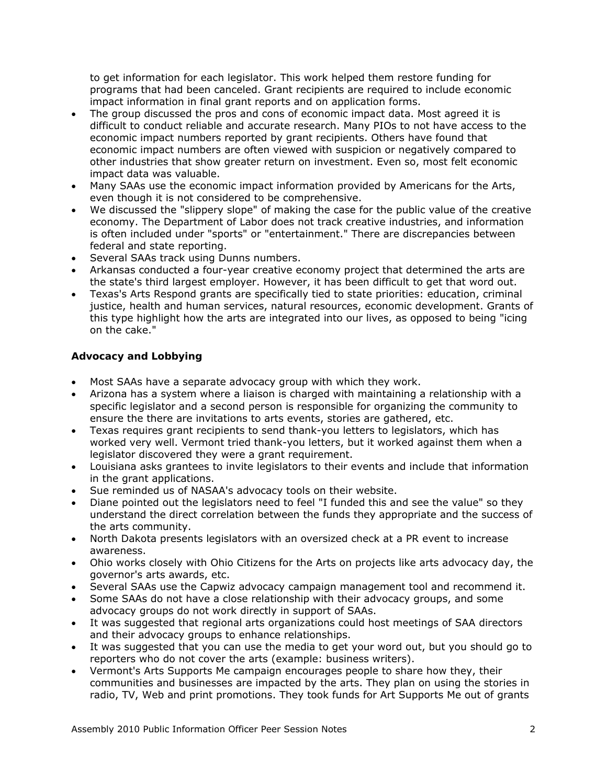to get information for each legislator. This work helped them restore funding for programs that had been canceled. Grant recipients are required to include economic impact information in final grant reports and on application forms.

- The group discussed the pros and cons of economic impact data. Most agreed it is difficult to conduct reliable and accurate research. Many PIOs to not have access to the economic impact numbers reported by grant recipients. Others have found that economic impact numbers are often viewed with suspicion or negatively compared to other industries that show greater return on investment. Even so, most felt economic impact data was valuable.
- Many SAAs use the economic impact information provided by Americans for the Arts, even though it is not considered to be comprehensive.
- We discussed the "slippery slope" of making the case for the public value of the creative economy. The Department of Labor does not track creative industries, and information is often included under "sports" or "entertainment." There are discrepancies between federal and state reporting.
- Several SAAs track using Dunns numbers.
- Arkansas conducted a four-year creative economy project that determined the arts are the state's third largest employer. However, it has been difficult to get that word out.
- Texas's Arts Respond grants are specifically tied to state priorities: education, criminal justice, health and human services, natural resources, economic development. Grants of this type highlight how the arts are integrated into our lives, as opposed to being "icing on the cake."

# **Advocacy and Lobbying**

- Most SAAs have a separate advocacy group with which they work.
- Arizona has a system where a liaison is charged with maintaining a relationship with a specific legislator and a second person is responsible for organizing the community to ensure the there are invitations to arts events, stories are gathered, etc.
- Texas requires grant recipients to send thank-you letters to legislators, which has worked very well. Vermont tried thank-you letters, but it worked against them when a legislator discovered they were a grant requirement.
- Louisiana asks grantees to invite legislators to their events and include that information in the grant applications.
- Sue reminded us of NASAA's advocacy tools on their website.
- Diane pointed out the legislators need to feel "I funded this and see the value" so they understand the direct correlation between the funds they appropriate and the success of the arts community.
- North Dakota presents legislators with an oversized check at a PR event to increase awareness.
- Ohio works closely with Ohio Citizens for the Arts on projects like arts advocacy day, the governor's arts awards, etc.
- Several SAAs use the Capwiz advocacy campaign management tool and recommend it.
- Some SAAs do not have a close relationship with their advocacy groups, and some advocacy groups do not work directly in support of SAAs.
- It was suggested that regional arts organizations could host meetings of SAA directors and their advocacy groups to enhance relationships.
- It was suggested that you can use the media to get your word out, but you should go to reporters who do not cover the arts (example: business writers).
- Vermont's Arts Supports Me campaign encourages people to share how they, their communities and businesses are impacted by the arts. They plan on using the stories in radio, TV, Web and print promotions. They took funds for Art Supports Me out of grants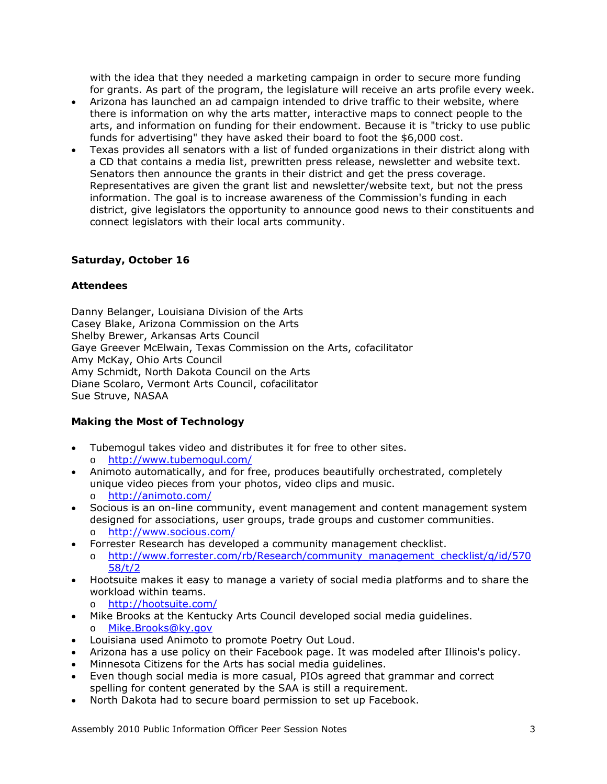with the idea that they needed a marketing campaign in order to secure more funding for grants. As part of the program, the legislature will receive an arts profile every week.

- Arizona has launched an ad campaign intended to drive traffic to their website, where there is information on why the arts matter, interactive maps to connect people to the arts, and information on funding for their endowment. Because it is "tricky to use public funds for advertising" they have asked their board to foot the \$6,000 cost.
- Texas provides all senators with a list of funded organizations in their district along with a CD that contains a media list, prewritten press release, newsletter and website text. Senators then announce the grants in their district and get the press coverage. Representatives are given the grant list and newsletter/website text, but not the press information. The goal is to increase awareness of the Commission's funding in each district, give legislators the opportunity to announce good news to their constituents and connect legislators with their local arts community.

## *Saturday, October 16*

## **Attendees**

Danny Belanger, Louisiana Division of the Arts Casey Blake, Arizona Commission on the Arts Shelby Brewer, Arkansas Arts Council Gaye Greever McElwain, Texas Commission on the Arts, cofacilitator Amy McKay, Ohio Arts Council Amy Schmidt, North Dakota Council on the Arts Diane Scolaro, Vermont Arts Council, cofacilitator Sue Struve, NASAA

# **Making the Most of Technology**

- Tubemogul takes video and distributes it for free to other sites. o <http://www.tubemogul.com/>
- Animoto automatically, and for free, produces beautifully orchestrated, completely unique video pieces from your photos, video clips and music.
	- o <http://animoto.com/>
- Socious is an on-line community, event management and content management system designed for associations, user groups, trade groups and customer communities.
	- o <http://www.socious.com/>
- Forrester Research has developed a community management checklist.
	- o [http://www.forrester.com/rb/Research/community\\_management\\_checklist/q/id/570](http://www.forrester.com/rb/Research/community_management_checklist/q/id/57058/t/2) [58/t/2](http://www.forrester.com/rb/Research/community_management_checklist/q/id/57058/t/2)
- Hootsuite makes it easy to manage a variety of social media platforms and to share the workload within teams.
	- o <http://hootsuite.com/>
- Mike Brooks at the Kentucky Arts Council developed social media guidelines.
	- o [Mike.Brooks@ky.gov](mailto:Mike.Brooks@ky.gov)
- Louisiana used Animoto to promote Poetry Out Loud.
- Arizona has a use policy on their Facebook page. It was modeled after Illinois's policy.
- Minnesota Citizens for the Arts has social media guidelines.
- Even though social media is more casual, PIOs agreed that grammar and correct spelling for content generated by the SAA is still a requirement.
- North Dakota had to secure board permission to set up Facebook.